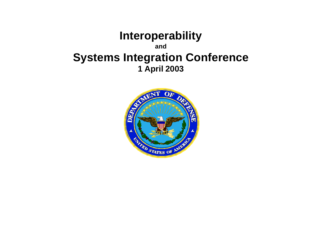## **Interoperability and Systems Integration Conference 1 April 2003**

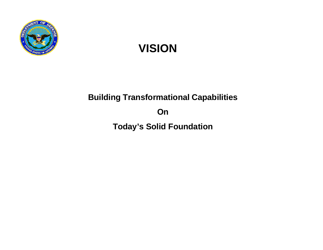

# **VISION**

# **Building Transformational Capabilities On**

**Today's Solid Foundation**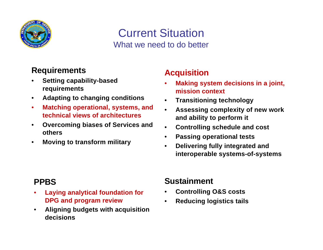

## Current Situation What we need to do better

#### **Requirements**

- **Setting capability-based requirements**
- **Adapting to changing conditions**
- **Matching operational, systems, and technical views of architectures**
- **Overcoming biases of Services and others**
- **Moving to transform military**

#### **Acquisition**

- **Making system decisions in a joint, mission context**
- **Transitioning technology**
- **Assessing complexity of new work and ability to perform it**
- **Controlling schedule and cost**
- **Passing operational tests**
- **Delivering fully integrated and interoperable systems-of-systems**

### **PPBS**

- **Laying analytical foundation for DPG and program review**
- **Aligning budgets with acquisition decisions**

#### **Sustainment**

- **Controlling O&S costs**
- **Reducing logistics tails**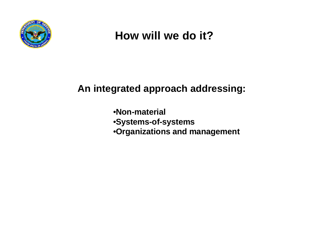

## **How will we do it?**

**An integrated approach addressing:**

•**Non-material** •**Systems-of-systems** •**Organizations and management**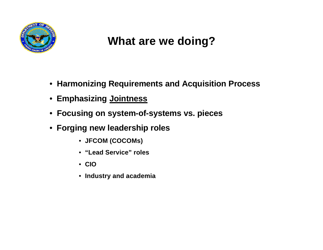

## **What are we doing?**

- • **Harmonizing Requirements and Acquisition Process**
- • **Emphasizing Jointness**
- • **Focusing on system-of-systems vs. pieces**
- • **Forging new leadership roles**
	- • **JFCOM (COCOMs)**
	- • **"Lead Service" roles**
	- • **CIO**
	- • **Industry and academia**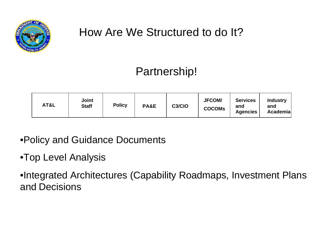

# How Are We Structured to do It?

# Partnership!

| AT&L | Joint<br><b>Staff</b> | <b>Policy</b> | PA&E | C <sub>3</sub> /C <sub>IO</sub> | <b>JFCOM/</b><br><b>COCOMS</b> | <b>Services</b><br>and<br><b>Agencies</b> | <b>Industry</b><br>and<br>Academia |
|------|-----------------------|---------------|------|---------------------------------|--------------------------------|-------------------------------------------|------------------------------------|
|------|-----------------------|---------------|------|---------------------------------|--------------------------------|-------------------------------------------|------------------------------------|

•Policy and Guidance Documents

## •Top Level Analysis

•Integrated Architectures (Capability Roadmaps, Investment Plans and Decisions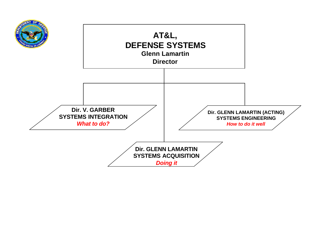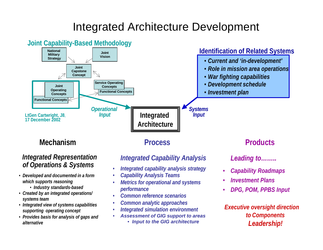## Integrated Architecture Development

#### **Integrated Architecture**  *Integrated Representation of Operations & Systems Integrated Capability Analysis* **National Military Strategy Joint Vision Joint Capstone Concept Functional Concepts Joint Operating Concepts Functional Concepts Service Operating Concepts** *Operational Input* **Joint Capability-Based Methodology** *Systems Input*  • *Current and 'in-development'* • *Role in mission area operations* • *War fighting capabilities* • *Development schedule* • *Investment plan* **Identification of Related Systems LtGen Cartwright, J8**, **17 December 2002** *Leading to……..* **Mechanism Process Products**

- *Developed and documented in a form which supports reasoning*
	- *Industry standards-based*
- *Created by an integrated operations/ systems team*
- *Integrated view of systems capabilities supporting operating concept*
- *Provides basis for analysis of gaps and alternative*
- *Integrated capability analysis strategy*
- *Capability Analysis Teams*
- *Metrics for operational and systems performance*
- *Common reference scenarios*
- *Common analytic approaches*
- *Integrated simulation environment*
- *Assessment of GIG support to areas*
	- • *Input to the GIG architecture*
- *Capability Roadmaps*
- *Investment Plans*
- *DPG, POM, PPBS Input*

*Executive oversight direction to Components Leadership!*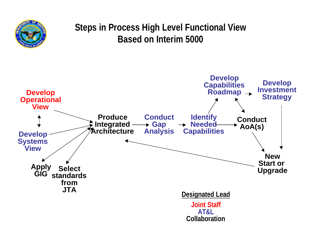

## **Steps in Process High Level Functional View Based on Interim 5000**

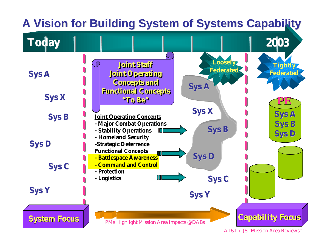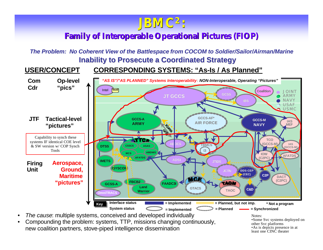## **JBMC<sup>2</sup>:**

#### **Family of Interoperable Operational Pictures (FIOP)**

*The Problem: No Coherent View of the Battlespace from COCOM to Soldier/Sailor/Airman/Marine* **Inability to Prosecute a Coordinated Strategy**





• *The cause*: multiple systems, conceived and developed individually

• Compounding the problem: systems, TTP, missions changing continuously, new coalition partners, stove-piped intelligence dissemination

Notes: •Some Svc systems deployed on other Svc platforms •As is depicts presence in at least one CINC theater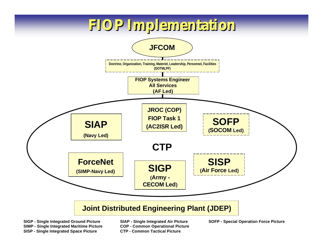# **FIOP Implementation**



**SIMP - Single Integrated Maritime Picture COP - Common Operational Picture SISP - Single Integrated Space Picture CTP - Common Tactical Picture**

**SIGP - Single Integrated Ground Picture SIAP - Single Integrated Air Picture SOFP - Special Operation Force Picture**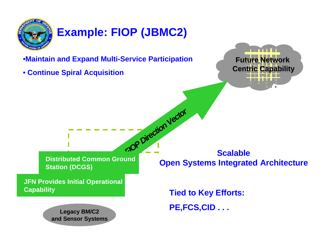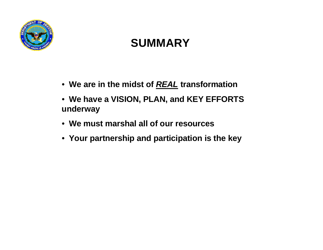

# **SUMMARY**

- • **We are in the midst of** *REAL* **transformation**
- • **We have a VISION, PLAN, and KEY EFFORTS underway**
- • **We must marshal all of our resources**
- • **Your partnership and participation is the key**